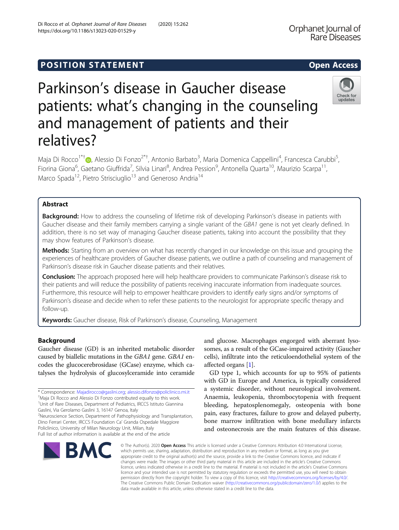## **POSITION STATEMENT CONSUMING ACCESS**

# Parkinson's disease in Gaucher disease patients: what's changing in the counseling and management of patients and their relatives?

Maja Di Rocco<sup>1\*†</sup> D, Alessio Di Fonzo<sup>2\*†</sup>, Antonio Barbato<sup>3</sup>, Maria Domenica Cappellini<sup>4</sup>, Francesca Carubbi<sup>5</sup> , Fiorina Giona<sup>6</sup>, Gaetano Giuffrida<sup>7</sup>, Silvia Linari<sup>8</sup>, Andrea Pession<sup>9</sup>, Antonella Quarta<sup>10</sup>, Maurizio Scarpa<sup>11</sup>, Marco Spada<sup>12</sup>, Pietro Strisciuglio<sup>13</sup> and Generoso Andria<sup>14</sup>

## Abstract

Background: How to address the counseling of lifetime risk of developing Parkinson's disease in patients with Gaucher disease and their family members carrying a single variant of the GBA1 gene is not yet clearly defined. In addition, there is no set way of managing Gaucher disease patients, taking into account the possibility that they may show features of Parkinson's disease.

Methods: Starting from an overview on what has recently changed in our knowledge on this issue and grouping the experiences of healthcare providers of Gaucher disease patients, we outline a path of counseling and management of Parkinson's disease risk in Gaucher disease patients and their relatives.

Conclusion: The approach proposed here will help healthcare providers to communicate Parkinson's disease risk to their patients and will reduce the possibility of patients receiving inaccurate information from inadequate sources. Furthermore, this resource will help to empower healthcare providers to identify early signs and/or symptoms of Parkinson's disease and decide when to refer these patients to the neurologist for appropriate specific therapy and follow-up.

Keywords: Gaucher disease, Risk of Parkinson's disease, Counseling, Management

## Background

Gaucher disease (GD) is an inherited metabolic disorder caused by biallelic mutations in the GBA1 gene. GBA1 encodes the glucocerebrosidase (GCase) enzyme, which catalyses the hydrolysis of glucosylceramide into ceramide

\* Correspondence: [Majadirocco@gaslini.org;](mailto:Majadirocco@gaslini.org) [alessio.difonzo@policlinico.mi.it](mailto:alessio.difonzo@policlinico.mi.it) † Maja Di Rocco and Alessio Di Fonzo contributed equally to this work. <sup>1</sup>Unit of Rare Diseases, Department of Pediatrics, IRCCS Istituto Giannina Gaslini, Via Gerolamo Gaslini 3, 16147 Genoa, Italy

<sup>2</sup>Neuroscience Section, Department of Pathophysiology and Transplantation, Dino Ferrari Center, IRCCS Foundation Ca' Granda Ospedale Maggiore Policlinico, University of Milan Neurology Unit, Milan, Italy Full list of author information is available at the end of the article

**RM** 

and glucose. Macrophages engorged with aberrant lysosomes, as a result of the GCase-impaired activity (Gaucher cells), infiltrate into the reticuloendothelial system of the affected organs [[1](#page-4-0)].

GD type 1, which accounts for up to 95% of patients with GD in Europe and America, is typically considered a systemic disorder, without neurological involvement. Anaemia, leukopenia, thrombocytopenia with frequent bleeding, hepatosplenomegaly, osteopenia with bone pain, easy fractures, failure to grow and delayed puberty, bone marrow infiltration with bone medullary infarcts and osteonecrosis are the main features of this disease.

© The Author(s), 2020 **Open Access** This article is licensed under a Creative Commons Attribution 4.0 International License, licence, unless indicated otherwise in a credit line to the material. If material is not included in the article's Creative Commons licence and your intended use is not permitted by statutory regulation or exceeds the permitted use, you will need to obtain permission directly from the copyright holder. To view a copy of this licence, visit [http://creativecommons.org/licenses/by/4.0/.](http://creativecommons.org/licenses/by/4.0/) The Creative Commons Public Domain Dedication waiver [\(http://creativecommons.org/publicdomain/zero/1.0/](http://creativecommons.org/publicdomain/zero/1.0/)) applies to the data made available in this article, unless otherwise stated in a credit line to the data.

which permits use, sharing, adaptation, distribution and reproduction in any medium or format, as long as you give appropriate credit to the original author(s) and the source, provide a link to the Creative Commons licence, and indicate if changes were made. The images or other third party material in this article are included in the article's Creative Commons







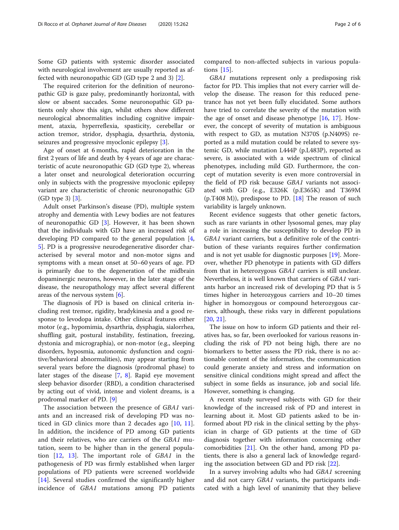Some GD patients with systemic disorder associated with neurological involvement are usually reported as affected with neuronopathic GD (GD type 2 and 3) [\[2](#page-4-0)].

The required criterion for the definition of neuronopathic GD is gaze palsy, predominantly horizontal, with slow or absent saccades. Some neuronopathic GD patients only show this sign, whilst others show different neurological abnormalities including cognitive impairment, ataxia, hyperreflexia, spasticity, cerebellar or action tremor, stridor, dysphagia, dysarthria, dystonia, seizures and progressive myoclonic epilepsy [\[3](#page-4-0)].

Age of onset at 6 months, rapid deterioration in the first 2 years of life and death by 4 years of age are characteristic of acute neuronopathic GD (GD type 2), whereas a later onset and neurological deterioration occurring only in subjects with the progressive myoclonic epilepsy variant are characteristic of chronic neuronopathic GD (GD type 3) [[3](#page-4-0)].

Adult onset Parkinson's disease (PD), multiple system atrophy and dementia with Lewy bodies are not features of neuronopathic GD [[3\]](#page-4-0). However, it has been shown that the individuals with GD have an increased risk of developing PD compared to the general population [\[4](#page-5-0), [5\]](#page-5-0). PD is a progressive neurodegenerative disorder characterised by several motor and non-motor signs and symptoms with a mean onset at 50–60 years of age. PD is primarily due to the degeneration of the midbrain dopaminergic neurons, however, in the later stage of the disease, the neuropathology may affect several different areas of the nervous system [\[6\]](#page-5-0).

The diagnosis of PD is based on clinical criteria including rest tremor, rigidity, bradykinesia and a good response to levodopa intake. Other clinical features either motor (e.g., hypomimia, dysarthria, dysphagia, sialorrhea, shuffling gait, postural instability, festination, freezing, dystonia and micrographia), or non-motor (e.g., sleeping disorders, hyposmia, autonomic dysfunction and cognitive/behavioral abnormalities), may appear starting from several years before the diagnosis (prodromal phase) to later stages of the disease [[7,](#page-5-0) [8](#page-5-0)]. Rapid eye movement sleep behavior disorder (RBD), a condition characterised by acting out of vivid, intense and violent dreams, is a prodromal marker of PD. [[9\]](#page-5-0)

The association between the presence of GBA1 variants and an increased risk of developing PD was noticed in GD clinics more than 2 decades ago [[10,](#page-5-0) [11](#page-5-0)]. In addition, the incidence of PD among GD patients and their relatives, who are carriers of the GBA1 mutation, seem to be higher than in the general population [[12,](#page-5-0) [13\]](#page-5-0). The important role of GBA1 in the pathogenesis of PD was firmly established when larger populations of PD patients were screened worldwide [[14\]](#page-5-0). Several studies confirmed the significantly higher incidence of GBA1 mutations among PD patients compared to non-affected subjects in various populations [\[15](#page-5-0)].

GBA1 mutations represent only a predisposing risk factor for PD. This implies that not every carrier will develop the disease. The reason for this reduced penetrance has not yet been fully elucidated. Some authors have tried to correlate the severity of the mutation with the age of onset and disease phenotype [[16,](#page-5-0) [17\]](#page-5-0). However, the concept of severity of mutation is ambiguous with respect to GD, as mutation N370S (p.N409S) reported as a mild mutation could be related to severe systemic GD, while mutation L444P (p.L483P), reported as severe, is associated with a wide spectrum of clinical phenotypes, including mild GD. Furthermore, the concept of mutation severity is even more controversial in the field of PD risk because GBA1 variants not associated with GD (e.g., E326K (p.E365K) and T369M  $(p.T408 M)$ , predispose to PD. [[18\]](#page-5-0) The reason of such variability is largely unknown.

Recent evidence suggests that other genetic factors, such as rare variants in other lysosomal genes, may play a role in increasing the susceptibility to develop PD in GBA1 variant carriers, but a definitive role of the contribution of these variants requires further confirmation and is not yet usable for diagnostic purposes [\[19](#page-5-0)]. Moreover, whether PD phenotype in patients with GD differs from that in heterozygous GBA1 carriers is still unclear. Nevertheless, it is well known that carriers of GBA1 variants harbor an increased risk of developing PD that is 5 times higher in heterozygous carriers and 10–20 times higher in homozygous or compound heterozygous carriers, although, these risks vary in different populations [[20,](#page-5-0) [21\]](#page-5-0).

The issue on how to inform GD patients and their relatives has, so far, been overlooked for various reasons including the risk of PD not being high, there are no biomarkers to better assess the PD risk, there is no actionable content of the information, the communication could generate anxiety and stress and information on sensitive clinical conditions might spread and affect the subject in some fields as insurance, job and social life. However, something is changing.

A recent study surveyed subjects with GD for their knowledge of the increased risk of PD and interest in learning about it. Most GD patients asked to be informed about PD risk in the clinical setting by the physician in charge of GD patients at the time of GD diagnosis together with information concerning other comorbidities [\[21](#page-5-0)]. On the other hand, among PD patients, there is also a general lack of knowledge regarding the association between GD and PD risk [\[22](#page-5-0)].

In a survey involving adults who had GBA1 screening and did not carry GBA1 variants, the participants indicated with a high level of unanimity that they believe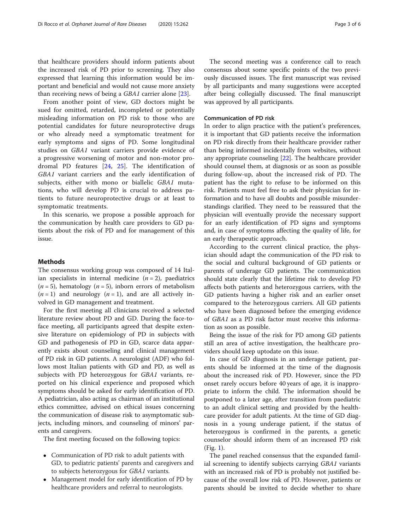that healthcare providers should inform patients about the increased risk of PD prior to screening. They also expressed that learning this information would be important and beneficial and would not cause more anxiety than receiving news of being a GBA1 carrier alone [\[23](#page-5-0)].

From another point of view, GD doctors might be sued for omitted, retarded, incompleted or potentially misleading information on PD risk to those who are potential candidates for future neuroprotective drugs or who already need a symptomatic treatment for early symptoms and signs of PD. Some longitudinal studies on GBA1 variant carriers provide evidence of a progressive worsening of motor and non-motor prodromal PD features [[24,](#page-5-0) [25\]](#page-5-0). The identification of GBA1 variant carriers and the early identification of subjects, either with mono or biallelic GBA1 mutations, who will develop PD is crucial to address patients to future neuroprotective drugs or at least to symptomatic treatments.

In this scenario, we propose a possible approach for the communication by health care providers to GD patients about the risk of PD and for management of this issue.

#### **Methods**

The consensus working group was composed of 14 Italian specialists in internal medicine  $(n = 2)$ , paediatrics  $(n = 5)$ , hematology  $(n = 5)$ , inborn errors of metabolism  $(n = 1)$  and neurology  $(n = 1)$ , and are all actively involved in GD management and treatment.

For the first meeting all clinicians received a selected literature review about PD and GD. During the face-toface meeting, all participants agreed that despite extensive literature on epidemiology of PD in subjects with GD and pathogenesis of PD in GD, scarce data apparently exists about counseling and clinical management of PD risk in GD patients. A neurologist (ADF) who follows most Italian patients with GD and PD, as well as subjects with PD heterozygous for GBA1 variants, reported on his clinical experience and proposed which symptoms should be asked for early identification of PD. A pediatrician, also acting as chairman of an institutional ethics committee, advised on ethical issues concerning the communication of disease risk to asymptomatic subjects, including minors, and counseling of minors' parents and caregivers.

The first meeting focused on the following topics:

- Communication of PD risk to adult patients with GD, to pediatric patients' parents and caregivers and to subjects heterozygous for GBA1 variants.
- Management model for early identification of PD by healthcare providers and referral to neurologists.

#### Communication of PD risk

In order to align practice with the patient's preferences, it is important that GD patients receive the information on PD risk directly from their healthcare provider rather than being informed incidentally from websites, without any appropriate counseling [[22\]](#page-5-0). The healthcare provider should counsel them, at diagnosis or as soon as possible during follow-up, about the increased risk of PD. The patient has the right to refuse to be informed on this risk. Patients must feel free to ask their physician for information and to have all doubts and possible misunderstandings clarified. They need to be reassured that the physician will eventually provide the necessary support for an early identification of PD signs and symptoms and, in case of symptoms affecting the quality of life, for an early therapeutic approach.

According to the current clinical practice, the physician should adapt the communication of the PD risk to the social and cultural background of GD patients or parents of underage GD patients. The communication should state clearly that the lifetime risk to develop PD affects both patients and heterozygous carriers, with the GD patients having a higher risk and an earlier onset compared to the heterozygous carriers. All GD patients who have been diagnosed before the emerging evidence of GBA1 as a PD risk factor must receive this information as soon as possible.

Being the issue of the risk for PD among GD patients still an area of active investigation, the healthcare providers should keep uptodate on this issue.

In case of GD diagnosis in an underage patient, parents should be informed at the time of the diagnosis about the increased risk of PD. However, since the PD onset rarely occurs before 40 years of age, it is inappropriate to inform the child. The information should be postponed to a later age, after transition from paediatric to an adult clinical setting and provided by the healthcare provider for adult patients. At the time of GD diagnosis in a young underage patient, if the status of heterozygous is confirmed in the parents, a genetic counselor should inform them of an increased PD risk (Fig. [1](#page-3-0)).

The panel reached consensus that the expanded familial screening to identify subjects carrying GBA1 variants with an increased risk of PD is probably not justified because of the overall low risk of PD. However, patients or parents should be invited to decide whether to share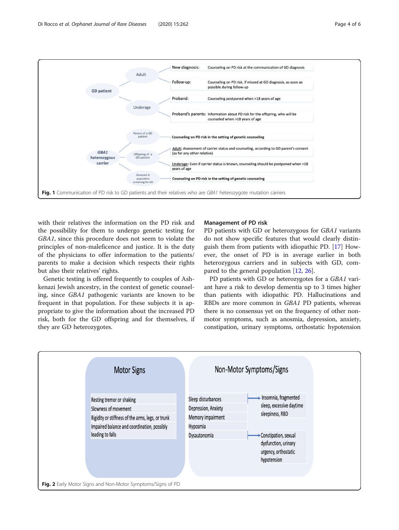<span id="page-3-0"></span>

with their relatives the information on the PD risk and the possibility for them to undergo genetic testing for GBA1, since this procedure does not seem to violate the principles of non-maleficence and justice. It is the duty of the physicians to offer information to the patients/ parents to make a decision which respects their rights but also their relatives' rights.

Genetic testing is offered frequently to couples of Ashkenazi Jewish ancestry, in the context of genetic counseling, since GBA1 pathogenic variants are known to be frequent in that population. For these subjects it is appropriate to give the information about the increased PD risk, both for the GD offspring and for themselves, if they are GD heterozygotes.

#### Management of PD risk

PD patients with GD or heterozygous for GBA1 variants do not show specific features that would clearly distinguish them from patients with idiopathic PD. [\[17\]](#page-5-0) However, the onset of PD is in average earlier in both heterozygous carriers and in subjects with GD, compared to the general population [\[12](#page-5-0), [26\]](#page-5-0).

PD patients with GD or heterozygotes for a GBA1 variant have a risk to develop dementia up to 3 times higher than patients with idiopathic PD. Hallucinations and RBDs are more common in GBA1 PD patients, whereas there is no consensus yet on the frequency of other nonmotor symptoms, such as anosmia, depression, anxiety, constipation, urinary symptoms, orthostatic hypotension

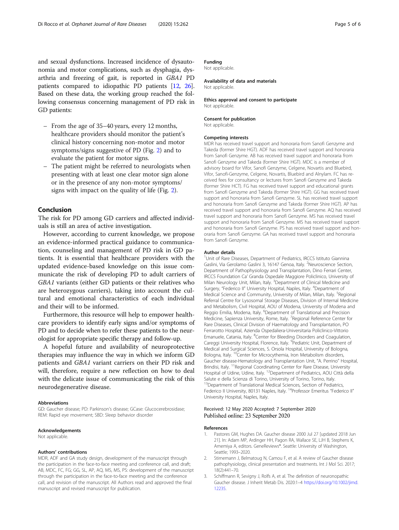<span id="page-4-0"></span>and sexual dysfunctions. Increased incidence of dysautonomia and motor complications, such as dysphagia, dysarthria and freezing of gait, is reported in GBA1 PD patients compared to idiopathic PD patients [\[12,](#page-5-0) [26](#page-5-0)]. Based on these data, the working group reached the following consensus concerning management of PD risk in GD patients:

- From the age of 35–40 years, every 12 months, healthcare providers should monitor the patient's clinical history concerning non-motor and motor symptoms/signs suggestive of PD (Fig. [2\)](#page-3-0) and to evaluate the patient for motor signs.
- The patient might be referred to neurologists when presenting with at least one clear motor sign alone or in the presence of any non-motor symptoms/ signs with impact on the quality of life (Fig. [2](#page-3-0)).

#### Conclusion

The risk for PD among GD carriers and affected individuals is still an area of active investigation.

However, according to current knowledge, we propose an evidence-informed practical guidance to communication, counseling and management of PD risk in GD patients. It is essential that healthcare providers with the updated evidence-based knowledge on this issue communicate the risk of developing PD to adult carriers of GBA1 variants (either GD patients or their relatives who are heterozygous carriers), taking into account the cultural and emotional characteristics of each individual and their will to be informed.

Furthermore, this resource will help to empower healthcare providers to identify early signs and/or symptoms of PD and to decide when to refer these patients to the neurologist for appropriate specific therapy and follow-up.

A hopeful future and availability of neuroprotective therapies may influence the way in which we inform GD patients and GBA1 variant carriers on their PD risk and will, therefore, require a new reflection on how to deal with the delicate issue of communicating the risk of this neurodegenerative disease.

#### Abbreviations

GD: Gaucher disease; PD: Parkinson's disease; GCase: Glucocerebrosidase; REM: Rapid eye movement; SBD: Sleep behavior disorder

#### Acknowledgements

Not applicable.

#### Authors' contributions

MDR, ADF and GA study design, development of the manuscript through the participation in the face-to-face meeting and conference call, and draft; AB, MDC, FC, FG; GG, SL, AP, AQ, MS, MS, PS: development of the manuscript through the participation in the face-to-face meeting and the conference call, and revision of the manuscript. All Authors read and approved the final manuscript and revised manuscript for publication.

#### Funding

Not applicable.

Availability of data and materials Not applicable.

Ethics approval and consent to participate Not applicable.

#### Consent for publication

Not applicable.

#### Competing interests

MDR has received travel support and honoraria from Sanofi Genzyme and Takeda (former Shire HGT). ADF has received travel support and honoraria from Sanofi Genzyme. AB has received travel support and honoraria from Sanofi Genzyme and Takeda (former Shire HGT). MDC is a member of advisory board for Vifor, Sanofi Genzyme, Celgene, Novartis and Bluebird, Vifor, Sanofi-Genzyme, Celgene, Novartis, Bluebird and Alnylam. FC has received fees for consultancy or lectures from Sanofi Genzyme and Takeda (former Shire HCT). FG has received travel support and educational grants from Sanofi Genzyme and Takeda (former Shire HGT). GG has received travel support and honoraria from Sanofi Genzyme. SL has received travel support and honoraria from Sanofi Genzyme and Takeda (former Shire HGT). AP has received travel support and honoraria from Sanofi Genzyme. AQ has received travel support and honoraria from Sanofi Genzyme. MS has received travel support and honoraria from Sanofi Genzyme. MS has received travel support and honoraria from Sanofi Genzyme. PS has received travel support and honoraria from Sanofi Genzyme. GA has received travel support and honoraria from Sanofi Genzyme.

#### Author details

<sup>1</sup>Unit of Rare Diseases, Department of Pediatrics, IRCCS Istituto Giannina Gaslini, Via Gerolamo Gaslini 3, 16147 Genoa, Italy. <sup>2</sup>Neuroscience Section Department of Pathophysiology and Transplantation, Dino Ferrari Center, IRCCS Foundation Ca' Granda Ospedale Maggiore Policlinico, University of Milan Neurology Unit, Milan, Italy. <sup>3</sup>Department of Clinical Medicine and Surgery, "Federico II" University Hospital, Naples, Italy. <sup>4</sup>Department of Medical Science and Community, University of Milan, Milan, Italy. <sup>5</sup>Regional Referral Centre for Lysosomal Storage Diseases, Division of Internal Medicine and Metabolism, Civil Hospital, AOU of Modena, University of Modena and Reggio Emilia, Modena, Italy. <sup>6</sup>Department of Translational and Precision Medicine, Sapienza University, Rome, Italy. <sup>7</sup> Regional Reference Center for Rare Diseases, Clinical Division of Haematology and Transplantation, PO Ferrarotto Hospital, Azienda Ospedaliera-Universitaria Policlinico-Vittorio Emanuele, Catania, Italy. <sup>8</sup>Center for Bleeding Disorders and Coagulation Careggi University Hospital, Florence, Italy. <sup>9</sup> Pediatric Unit, Department of Medical and Surgical Sciences, S. Orsola Hospital, University of Bologna, Bologna, Italy. <sup>10</sup>Center for Microcythemia, Iron Metabolism disorders, Gaucher disease-Hematology and Transplantation Unit, "A. Perrino" Hospital, Brindisi, Italy. <sup>11</sup>Regional Coordinating Center for Rare Disease, University Hospital of Udine, Udine, Italy. <sup>12</sup>Department of Pediatrics, AOU Città della Salute e della Scienza di Torino, University of Torino, Torino, Italy.<br><sup>13</sup>Department of Translational Medical Sciences, Section of Pediatrics, Federico II University, 80131 Naples, Italy. <sup>14</sup>Professor Emeritus "Federico II" University Hospital, Naples, Italy.

#### Received: 12 May 2020 Accepted: 7 September 2020 Published online: 23 September 2020

#### References

- 1. Pastores GM, Hughes DA. Gaucher disease 2000 Jul 27 [updated 2018 Jun 21]. In: Adam MP, Ardinger HH, Pagon RA, Wallace SE, LJH B, Stephens K, Amemiya A, editors. GeneReviews®. Seattle: University of Washington, Seattle; 1993–2020.
- 2. Stirnemann J, Belmatoug N, Camou F, et al. A review of Gaucher disease pathophysiology, clinical presentation and treatments. Int J Mol Sci. 2017; 18(2):441–70.
- 3. Schiffmann R, Sevigny J, Rolfs A, et al. The definition of neuronopathic Gaucher disease. J Inherit Metab Dis. 2020:1–4 [https://doi.org/10.1002/jimd.](https://doi.org/10.1002/jimd.12235) [12235.](https://doi.org/10.1002/jimd.12235)